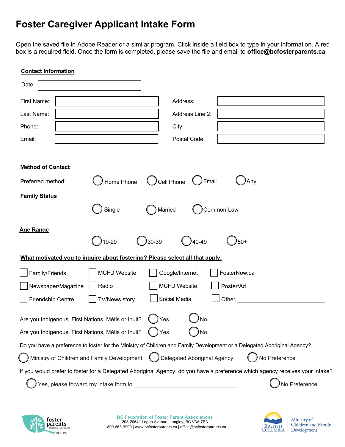## **Foster Caregiver Applicant Intake Form**

Open the saved file in Adobe Reader or a similar program. Click inside a field box to type in your information. A red box is a required field. Once the form is completed, please save the file and email to **office@bcfosterparents.ca**

| <b>Contact Information</b>                                                                                                   |                                      |  |  |  |
|------------------------------------------------------------------------------------------------------------------------------|--------------------------------------|--|--|--|
| Date                                                                                                                         |                                      |  |  |  |
| <b>First Name:</b>                                                                                                           | Address:                             |  |  |  |
| Last Name:                                                                                                                   | Address Line 2:                      |  |  |  |
| Phone:                                                                                                                       | City:                                |  |  |  |
| Email:                                                                                                                       | Postal Code:                         |  |  |  |
|                                                                                                                              |                                      |  |  |  |
| <b>Method of Contact</b>                                                                                                     |                                      |  |  |  |
| Home Phone<br>Preferred method:                                                                                              | Cell Phone<br>$\bigcup$ Email<br>Any |  |  |  |
| <b>Family Status</b>                                                                                                         |                                      |  |  |  |
| Single                                                                                                                       | Married<br>Common-Law                |  |  |  |
| <b>Age Range</b>                                                                                                             |                                      |  |  |  |
| )19-29<br>30-39                                                                                                              | 40-49<br>50+                         |  |  |  |
| What motivated you to inquire about fostering? Please select all that apply.                                                 |                                      |  |  |  |
| Family/Friends<br><b>MCFD Website</b>                                                                                        | FosterNow.ca<br>Google/Internet      |  |  |  |
| Newspaper/Magazine<br>Radio                                                                                                  | <b>MCFD Website</b><br>Poster/Ad     |  |  |  |
| <b>TV/News story</b><br>Friendship Centre                                                                                    | Social Media<br>Other                |  |  |  |
| Are you Indigenous, First Nations, Métis or Inuit?<br>$\bigcap$ Yes<br><b>No</b>                                             |                                      |  |  |  |
| Are you Indigenous, First Nations, Métis or Inuit?<br>Yes<br>No                                                              |                                      |  |  |  |
| Do you have a preference to foster for the Ministry of Children and Family Development or a Delegated Aboriginal Agency?     |                                      |  |  |  |
| Ministry of Children and Family Development (C) Delegated Aboriginal Agency                                                  | No Preference                        |  |  |  |
| If you would prefer to foster for a Delegated Aboriginal Agency, do you have a preference which agency receives your intake? |                                      |  |  |  |
|                                                                                                                              | No Preference                        |  |  |  |